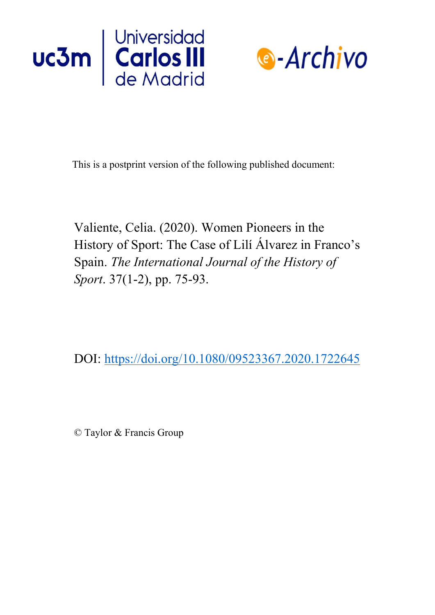



This is a postprint version of the following published document:

Valiente, Celia. (2020). Women Pioneers in the History of Sport: The Case of Lilí Álvarez in Franco's Spain. *The International Journal of the History of Sport*. 37(1-2), pp. 75-93.

DOI:<https://doi.org/10.1080/09523367.2020.1722645>

© Taylor & Francis Group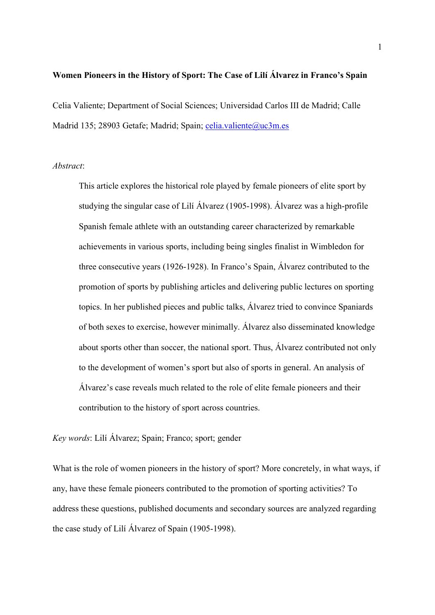## Women Pioneers in the History of Sport: The Case of Lilí Álvarez in Franco's Spain

Celia Valiente; Department of Social Sciences; Universidad Carlos III de Madrid; Calle Madrid 135; 28903 Getafe; Madrid; Spain; celia.valiente@uc3m.es

### Abstract:

This article explores the historical role played by female pioneers of elite sport by studying the singular case of Lilí Álvarez (1905-1998). Álvarez was a high-profile Spanish female athlete with an outstanding career characterized by remarkable achievements in various sports, including being singles finalist in Wimbledon for three consecutive years (1926-1928). In Franco's Spain, Álvarez contributed to the promotion of sports by publishing articles and delivering public lectures on sporting topics. In her published pieces and public talks, Álvarez tried to convince Spaniards of both sexes to exercise, however minimally. Álvarez also disseminated knowledge about sports other than soccer, the national sport. Thus, Álvarez contributed not only to the development of women's sport but also of sports in general. An analysis of Álvarez's case reveals much related to the role of elite female pioneers and their contribution to the history of sport across countries.

Key words: Lilí Álvarez; Spain; Franco; sport; gender

What is the role of women pioneers in the history of sport? More concretely, in what ways, if any, have these female pioneers contributed to the promotion of sporting activities? To address these questions, published documents and secondary sources are analyzed regarding the case study of Lilí Álvarez of Spain (1905-1998).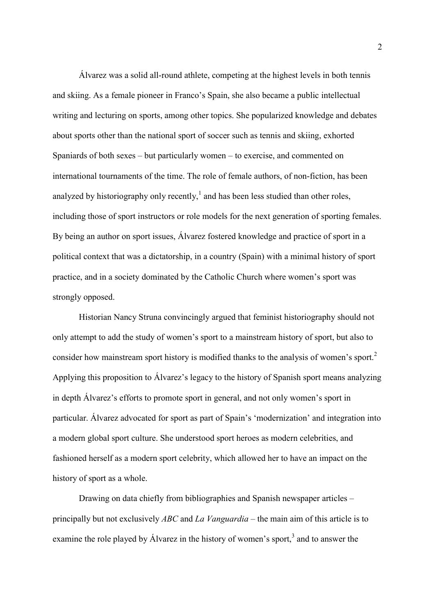Álvarez was a solid all-round athlete, competing at the highest levels in both tennis and skiing. As a female pioneer in Franco's Spain, she also became a public intellectual writing and lecturing on sports, among other topics. She popularized knowledge and debates about sports other than the national sport of soccer such as tennis and skiing, exhorted Spaniards of both sexes – but particularly women – to exercise, and commented on international tournaments of the time. The role of female authors, of non-fiction, has been analyzed by historiography only recently,  $\lambda$  and has been less studied than other roles, including those of sport instructors or role models for the next generation of sporting females. By being an author on sport issues, Álvarez fostered knowledge and practice of sport in a political context that was a dictatorship, in a country (Spain) with a minimal history of sport practice, and in a society dominated by the Catholic Church where women's sport was strongly opposed.

Historian Nancy Struna convincingly argued that feminist historiography should not only attempt to add the study of women's sport to a mainstream history of sport, but also to consider how mainstream sport history is modified thanks to the analysis of women's sport.<sup>2</sup> Applying this proposition to Álvarez's legacy to the history of Spanish sport means analyzing in depth Álvarez's efforts to promote sport in general, and not only women's sport in particular. Álvarez advocated for sport as part of Spain's 'modernization' and integration into a modern global sport culture. She understood sport heroes as modern celebrities, and fashioned herself as a modern sport celebrity, which allowed her to have an impact on the history of sport as a whole.

Drawing on data chiefly from bibliographies and Spanish newspaper articles – principally but not exclusively ABC and La Vanguardia – the main aim of this article is to examine the role played by  $\acute{A}$ lvarez in the history of women's sport,<sup>3</sup> and to answer the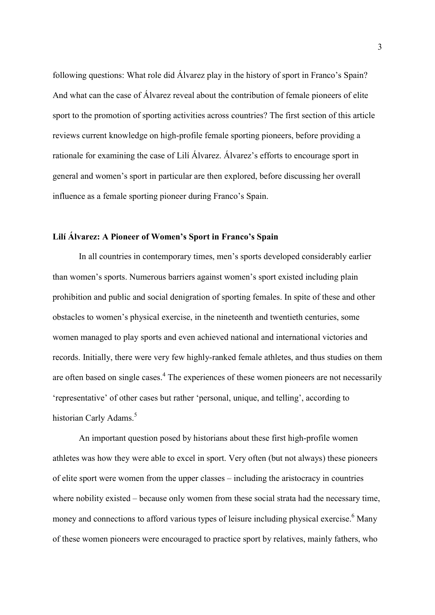following questions: What role did Álvarez play in the history of sport in Franco's Spain? And what can the case of Álvarez reveal about the contribution of female pioneers of elite sport to the promotion of sporting activities across countries? The first section of this article reviews current knowledge on high-profile female sporting pioneers, before providing a rationale for examining the case of Lilí Álvarez. Álvarez's efforts to encourage sport in general and women's sport in particular are then explored, before discussing her overall influence as a female sporting pioneer during Franco's Spain.

### Lilí Álvarez: A Pioneer of Women's Sport in Franco's Spain

In all countries in contemporary times, men's sports developed considerably earlier than women's sports. Numerous barriers against women's sport existed including plain prohibition and public and social denigration of sporting females. In spite of these and other obstacles to women's physical exercise, in the nineteenth and twentieth centuries, some women managed to play sports and even achieved national and international victories and records. Initially, there were very few highly-ranked female athletes, and thus studies on them are often based on single cases.<sup>4</sup> The experiences of these women pioneers are not necessarily 'representative' of other cases but rather 'personal, unique, and telling', according to historian Carly Adams.<sup>5</sup>

An important question posed by historians about these first high-profile women athletes was how they were able to excel in sport. Very often (but not always) these pioneers of elite sport were women from the upper classes – including the aristocracy in countries where nobility existed – because only women from these social strata had the necessary time, money and connections to afford various types of leisure including physical exercise.<sup>6</sup> Many of these women pioneers were encouraged to practice sport by relatives, mainly fathers, who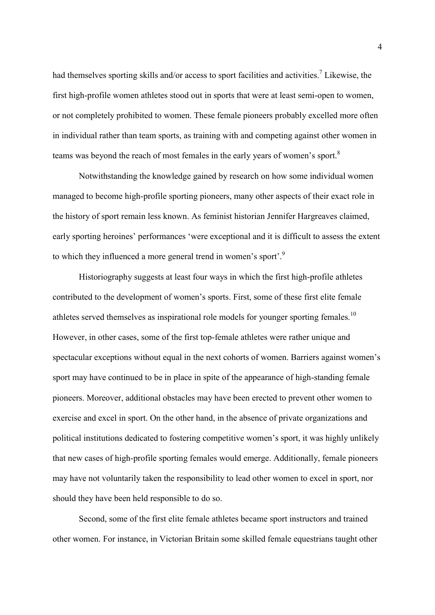had themselves sporting skills and/or access to sport facilities and activities.<sup>7</sup> Likewise, the first high-profile women athletes stood out in sports that were at least semi-open to women, or not completely prohibited to women. These female pioneers probably excelled more often in individual rather than team sports, as training with and competing against other women in teams was beyond the reach of most females in the early years of women's sport.<sup>8</sup>

Notwithstanding the knowledge gained by research on how some individual women managed to become high-profile sporting pioneers, many other aspects of their exact role in the history of sport remain less known. As feminist historian Jennifer Hargreaves claimed, early sporting heroines' performances 'were exceptional and it is difficult to assess the extent to which they influenced a more general trend in women's sport'.<sup>9</sup>

Historiography suggests at least four ways in which the first high-profile athletes contributed to the development of women's sports. First, some of these first elite female athletes served themselves as inspirational role models for younger sporting females.<sup>10</sup> However, in other cases, some of the first top-female athletes were rather unique and spectacular exceptions without equal in the next cohorts of women. Barriers against women's sport may have continued to be in place in spite of the appearance of high-standing female pioneers. Moreover, additional obstacles may have been erected to prevent other women to exercise and excel in sport. On the other hand, in the absence of private organizations and political institutions dedicated to fostering competitive women's sport, it was highly unlikely that new cases of high-profile sporting females would emerge. Additionally, female pioneers may have not voluntarily taken the responsibility to lead other women to excel in sport, nor should they have been held responsible to do so.

Second, some of the first elite female athletes became sport instructors and trained other women. For instance, in Victorian Britain some skilled female equestrians taught other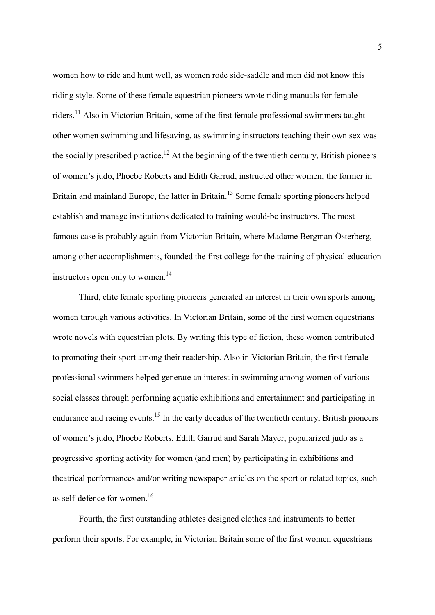women how to ride and hunt well, as women rode side-saddle and men did not know this riding style. Some of these female equestrian pioneers wrote riding manuals for female riders.<sup>11</sup> Also in Victorian Britain, some of the first female professional swimmers taught other women swimming and lifesaving, as swimming instructors teaching their own sex was the socially prescribed practice.<sup>12</sup> At the beginning of the twentieth century, British pioneers of women's judo, Phoebe Roberts and Edith Garrud, instructed other women; the former in Britain and mainland Europe, the latter in Britain.<sup>13</sup> Some female sporting pioneers helped establish and manage institutions dedicated to training would-be instructors. The most famous case is probably again from Victorian Britain, where Madame Bergman-Österberg, among other accomplishments, founded the first college for the training of physical education instructors open only to women.<sup>14</sup>

Third, elite female sporting pioneers generated an interest in their own sports among women through various activities. In Victorian Britain, some of the first women equestrians wrote novels with equestrian plots. By writing this type of fiction, these women contributed to promoting their sport among their readership. Also in Victorian Britain, the first female professional swimmers helped generate an interest in swimming among women of various social classes through performing aquatic exhibitions and entertainment and participating in endurance and racing events.<sup>15</sup> In the early decades of the twentieth century, British pioneers of women's judo, Phoebe Roberts, Edith Garrud and Sarah Mayer, popularized judo as a progressive sporting activity for women (and men) by participating in exhibitions and theatrical performances and/or writing newspaper articles on the sport or related topics, such as self-defence for women.<sup>16</sup>

Fourth, the first outstanding athletes designed clothes and instruments to better perform their sports. For example, in Victorian Britain some of the first women equestrians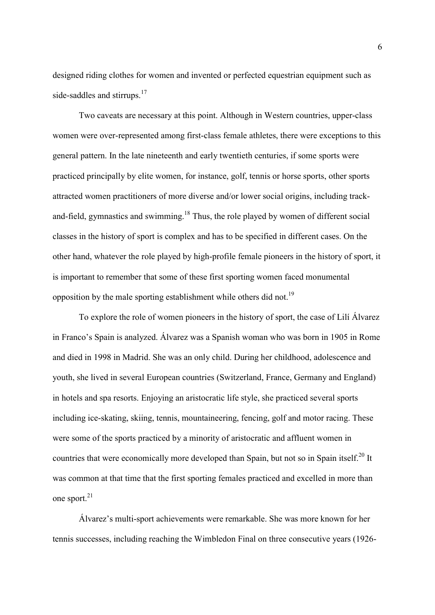designed riding clothes for women and invented or perfected equestrian equipment such as side-saddles and stirrups.<sup>17</sup>

Two caveats are necessary at this point. Although in Western countries, upper-class women were over-represented among first-class female athletes, there were exceptions to this general pattern. In the late nineteenth and early twentieth centuries, if some sports were practiced principally by elite women, for instance, golf, tennis or horse sports, other sports attracted women practitioners of more diverse and/or lower social origins, including trackand-field, gymnastics and swimming.<sup>18</sup> Thus, the role played by women of different social classes in the history of sport is complex and has to be specified in different cases. On the other hand, whatever the role played by high-profile female pioneers in the history of sport, it is important to remember that some of these first sporting women faced monumental opposition by the male sporting establishment while others did not.<sup>19</sup>

To explore the role of women pioneers in the history of sport, the case of Lilí Álvarez in Franco's Spain is analyzed. Álvarez was a Spanish woman who was born in 1905 in Rome and died in 1998 in Madrid. She was an only child. During her childhood, adolescence and youth, she lived in several European countries (Switzerland, France, Germany and England) in hotels and spa resorts. Enjoying an aristocratic life style, she practiced several sports including ice-skating, skiing, tennis, mountaineering, fencing, golf and motor racing. These were some of the sports practiced by a minority of aristocratic and affluent women in countries that were economically more developed than Spain, but not so in Spain itself.<sup>20</sup> It was common at that time that the first sporting females practiced and excelled in more than one sport.<sup>21</sup>

Álvarez's multi-sport achievements were remarkable. She was more known for her tennis successes, including reaching the Wimbledon Final on three consecutive years (1926-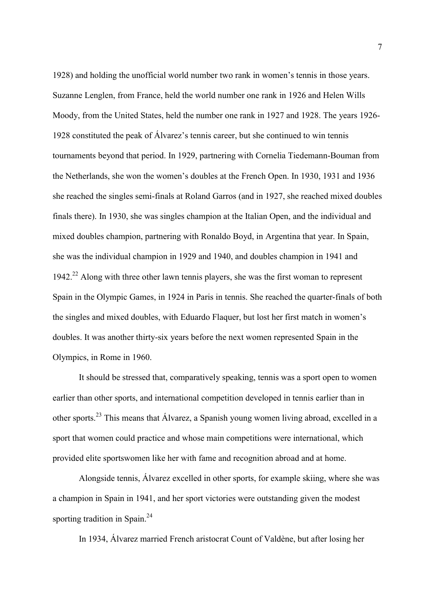1928) and holding the unofficial world number two rank in women's tennis in those years. Suzanne Lenglen, from France, held the world number one rank in 1926 and Helen Wills Moody, from the United States, held the number one rank in 1927 and 1928. The years 1926- 1928 constituted the peak of Álvarez's tennis career, but she continued to win tennis tournaments beyond that period. In 1929, partnering with Cornelia Tiedemann-Bouman from the Netherlands, she won the women's doubles at the French Open. In 1930, 1931 and 1936 she reached the singles semi-finals at Roland Garros (and in 1927, she reached mixed doubles finals there). In 1930, she was singles champion at the Italian Open, and the individual and mixed doubles champion, partnering with Ronaldo Boyd, in Argentina that year. In Spain, she was the individual champion in 1929 and 1940, and doubles champion in 1941 and  $1942.<sup>22</sup>$  Along with three other lawn tennis players, she was the first woman to represent Spain in the Olympic Games, in 1924 in Paris in tennis. She reached the quarter-finals of both the singles and mixed doubles, with Eduardo Flaquer, but lost her first match in women's doubles. It was another thirty-six years before the next women represented Spain in the Olympics, in Rome in 1960.

It should be stressed that, comparatively speaking, tennis was a sport open to women earlier than other sports, and international competition developed in tennis earlier than in other sports.<sup>23</sup> This means that Álvarez, a Spanish young women living abroad, excelled in a sport that women could practice and whose main competitions were international, which provided elite sportswomen like her with fame and recognition abroad and at home.

Alongside tennis, Álvarez excelled in other sports, for example skiing, where she was a champion in Spain in 1941, and her sport victories were outstanding given the modest sporting tradition in Spain. $^{24}$ 

In 1934, Álvarez married French aristocrat Count of Valdène, but after losing her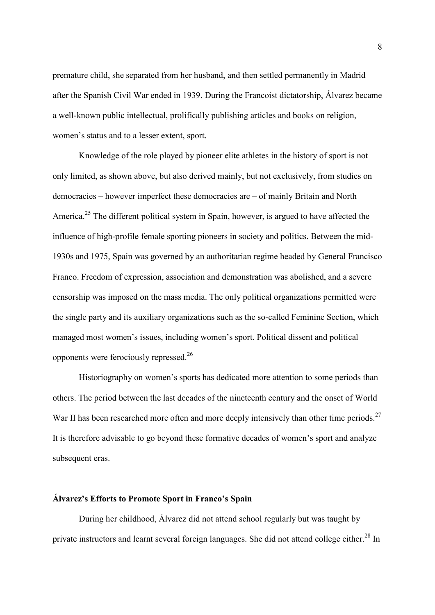premature child, she separated from her husband, and then settled permanently in Madrid after the Spanish Civil War ended in 1939. During the Francoist dictatorship, Álvarez became a well-known public intellectual, prolifically publishing articles and books on religion, women's status and to a lesser extent, sport.

Knowledge of the role played by pioneer elite athletes in the history of sport is not only limited, as shown above, but also derived mainly, but not exclusively, from studies on democracies – however imperfect these democracies are – of mainly Britain and North America.<sup>25</sup> The different political system in Spain, however, is argued to have affected the influence of high-profile female sporting pioneers in society and politics. Between the mid-1930s and 1975, Spain was governed by an authoritarian regime headed by General Francisco Franco. Freedom of expression, association and demonstration was abolished, and a severe censorship was imposed on the mass media. The only political organizations permitted were the single party and its auxiliary organizations such as the so-called Feminine Section, which managed most women's issues, including women's sport. Political dissent and political opponents were ferociously repressed.<sup>26</sup>

Historiography on women's sports has dedicated more attention to some periods than others. The period between the last decades of the nineteenth century and the onset of World War II has been researched more often and more deeply intensively than other time periods.<sup>27</sup> It is therefore advisable to go beyond these formative decades of women's sport and analyze subsequent eras.

#### Álvarez's Efforts to Promote Sport in Franco's Spain

During her childhood, Álvarez did not attend school regularly but was taught by private instructors and learnt several foreign languages. She did not attend college either.<sup>28</sup> In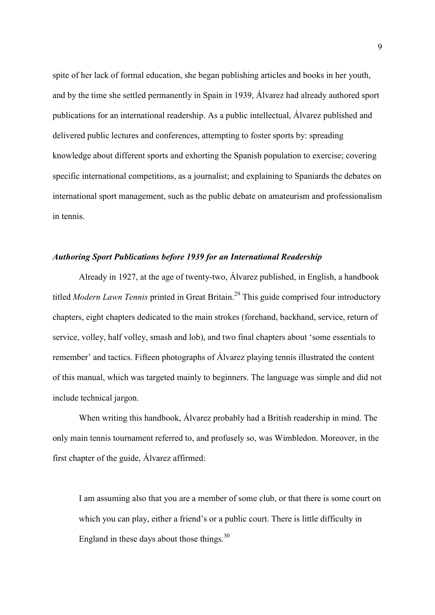spite of her lack of formal education, she began publishing articles and books in her youth, and by the time she settled permanently in Spain in 1939, Álvarez had already authored sport publications for an international readership. As a public intellectual, Álvarez published and delivered public lectures and conferences, attempting to foster sports by: spreading knowledge about different sports and exhorting the Spanish population to exercise; covering specific international competitions, as a journalist; and explaining to Spaniards the debates on international sport management, such as the public debate on amateurism and professionalism in tennis.

#### Authoring Sport Publications before 1939 for an International Readership

Already in 1927, at the age of twenty-two, Álvarez published, in English, a handbook titled *Modern Lawn Tennis* printed in Great Britain.<sup>29</sup> This guide comprised four introductory chapters, eight chapters dedicated to the main strokes (forehand, backhand, service, return of service, volley, half volley, smash and lob), and two final chapters about 'some essentials to remember' and tactics. Fifteen photographs of Álvarez playing tennis illustrated the content of this manual, which was targeted mainly to beginners. The language was simple and did not include technical jargon.

When writing this handbook, Álvarez probably had a British readership in mind. The only main tennis tournament referred to, and profusely so, was Wimbledon. Moreover, in the first chapter of the guide, Álvarez affirmed:

I am assuming also that you are a member of some club, or that there is some court on which you can play, either a friend's or a public court. There is little difficulty in England in these days about those things.  $30$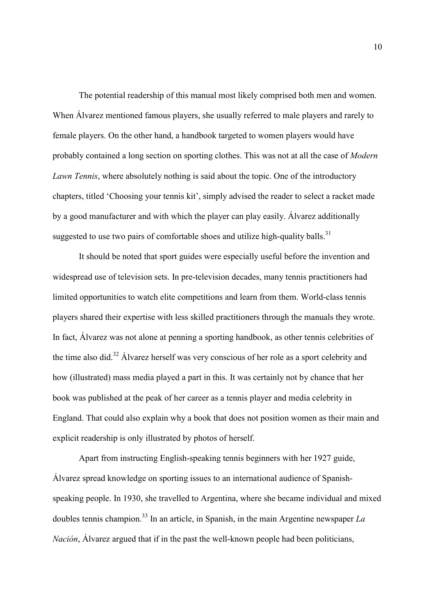The potential readership of this manual most likely comprised both men and women. When Álvarez mentioned famous players, she usually referred to male players and rarely to female players. On the other hand, a handbook targeted to women players would have probably contained a long section on sporting clothes. This was not at all the case of Modern Lawn Tennis, where absolutely nothing is said about the topic. One of the introductory chapters, titled 'Choosing your tennis kit', simply advised the reader to select a racket made by a good manufacturer and with which the player can play easily. Álvarez additionally suggested to use two pairs of comfortable shoes and utilize high-quality balls.<sup>31</sup>

It should be noted that sport guides were especially useful before the invention and widespread use of television sets. In pre-television decades, many tennis practitioners had limited opportunities to watch elite competitions and learn from them. World-class tennis players shared their expertise with less skilled practitioners through the manuals they wrote. In fact, Álvarez was not alone at penning a sporting handbook, as other tennis celebrities of the time also did.<sup>32</sup> Álvarez herself was very conscious of her role as a sport celebrity and how (illustrated) mass media played a part in this. It was certainly not by chance that her book was published at the peak of her career as a tennis player and media celebrity in England. That could also explain why a book that does not position women as their main and explicit readership is only illustrated by photos of herself.

Apart from instructing English-speaking tennis beginners with her 1927 guide, Álvarez spread knowledge on sporting issues to an international audience of Spanishspeaking people. In 1930, she travelled to Argentina, where she became individual and mixed doubles tennis champion.<sup>33</sup> In an article, in Spanish, in the main Argentine newspaper La Nación, Álvarez argued that if in the past the well-known people had been politicians,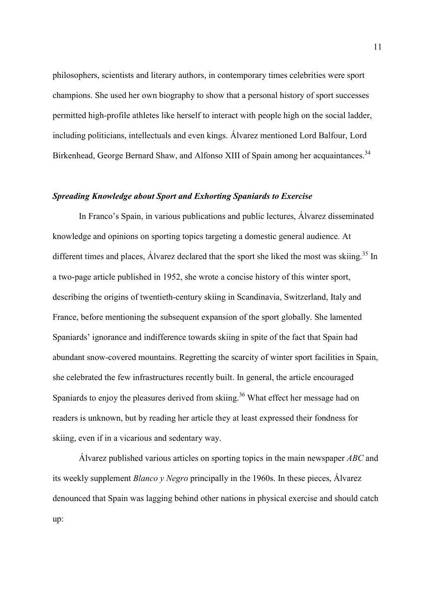philosophers, scientists and literary authors, in contemporary times celebrities were sport champions. She used her own biography to show that a personal history of sport successes permitted high-profile athletes like herself to interact with people high on the social ladder, including politicians, intellectuals and even kings. Álvarez mentioned Lord Balfour, Lord Birkenhead, George Bernard Shaw, and Alfonso XIII of Spain among her acquaintances.<sup>34</sup>

# Spreading Knowledge about Sport and Exhorting Spaniards to Exercise

In Franco's Spain, in various publications and public lectures, Álvarez disseminated knowledge and opinions on sporting topics targeting a domestic general audience. At different times and places, Álvarez declared that the sport she liked the most was skiing.<sup>35</sup> In a two-page article published in 1952, she wrote a concise history of this winter sport, describing the origins of twentieth-century skiing in Scandinavia, Switzerland, Italy and France, before mentioning the subsequent expansion of the sport globally. She lamented Spaniards' ignorance and indifference towards skiing in spite of the fact that Spain had abundant snow-covered mountains. Regretting the scarcity of winter sport facilities in Spain, she celebrated the few infrastructures recently built. In general, the article encouraged Spaniards to enjoy the pleasures derived from skiing.<sup>36</sup> What effect her message had on readers is unknown, but by reading her article they at least expressed their fondness for skiing, even if in a vicarious and sedentary way.

Álvarez published various articles on sporting topics in the main newspaper ABC and its weekly supplement *Blanco y Negro* principally in the 1960s. In these pieces, Alvarez denounced that Spain was lagging behind other nations in physical exercise and should catch up: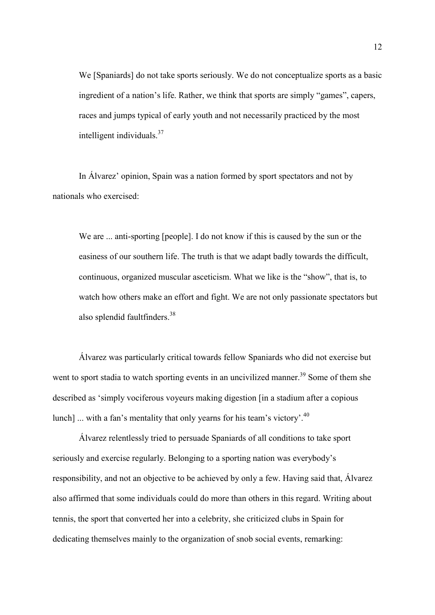We [Spaniards] do not take sports seriously. We do not conceptualize sports as a basic ingredient of a nation's life. Rather, we think that sports are simply "games", capers, races and jumps typical of early youth and not necessarily practiced by the most intelligent individuals.<sup>37</sup>

 In Álvarez' opinion, Spain was a nation formed by sport spectators and not by nationals who exercised:

We are ... anti-sporting [people]. I do not know if this is caused by the sun or the easiness of our southern life. The truth is that we adapt badly towards the difficult, continuous, organized muscular asceticism. What we like is the "show", that is, to watch how others make an effort and fight. We are not only passionate spectators but also splendid faultfinders.<sup>38</sup>

 Álvarez was particularly critical towards fellow Spaniards who did not exercise but went to sport stadia to watch sporting events in an uncivilized manner.<sup>39</sup> Some of them she described as 'simply vociferous voyeurs making digestion [in a stadium after a copious lunch] ... with a fan's mentality that only yearns for his team's victory'.<sup>40</sup>

 Álvarez relentlessly tried to persuade Spaniards of all conditions to take sport seriously and exercise regularly. Belonging to a sporting nation was everybody's responsibility, and not an objective to be achieved by only a few. Having said that, Álvarez also affirmed that some individuals could do more than others in this regard. Writing about tennis, the sport that converted her into a celebrity, she criticized clubs in Spain for dedicating themselves mainly to the organization of snob social events, remarking: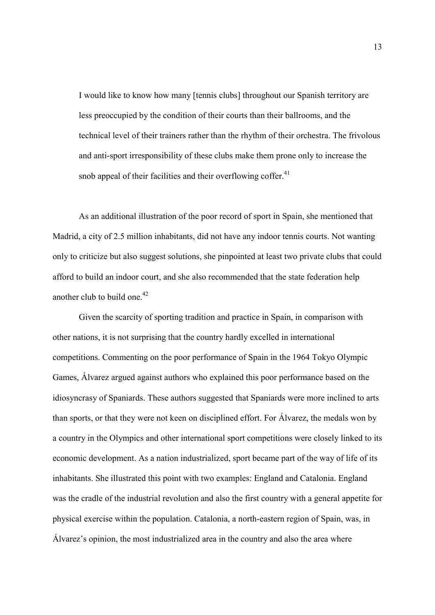I would like to know how many [tennis clubs] throughout our Spanish territory are less preoccupied by the condition of their courts than their ballrooms, and the technical level of their trainers rather than the rhythm of their orchestra. The frivolous and anti-sport irresponsibility of these clubs make them prone only to increase the snob appeal of their facilities and their overflowing coffer. $41$ 

As an additional illustration of the poor record of sport in Spain, she mentioned that Madrid, a city of 2.5 million inhabitants, did not have any indoor tennis courts. Not wanting only to criticize but also suggest solutions, she pinpointed at least two private clubs that could afford to build an indoor court, and she also recommended that the state federation help another club to build one.<sup>42</sup>

Given the scarcity of sporting tradition and practice in Spain, in comparison with other nations, it is not surprising that the country hardly excelled in international competitions. Commenting on the poor performance of Spain in the 1964 Tokyo Olympic Games, Álvarez argued against authors who explained this poor performance based on the idiosyncrasy of Spaniards. These authors suggested that Spaniards were more inclined to arts than sports, or that they were not keen on disciplined effort. For Álvarez, the medals won by a country in the Olympics and other international sport competitions were closely linked to its economic development. As a nation industrialized, sport became part of the way of life of its inhabitants. She illustrated this point with two examples: England and Catalonia. England was the cradle of the industrial revolution and also the first country with a general appetite for physical exercise within the population. Catalonia, a north-eastern region of Spain, was, in Álvarez's opinion, the most industrialized area in the country and also the area where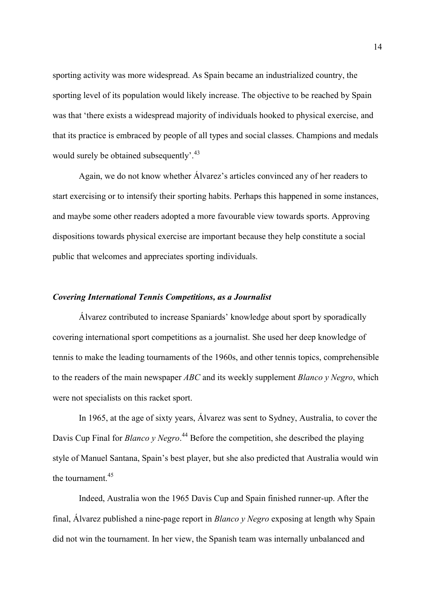sporting activity was more widespread. As Spain became an industrialized country, the sporting level of its population would likely increase. The objective to be reached by Spain was that 'there exists a widespread majority of individuals hooked to physical exercise, and that its practice is embraced by people of all types and social classes. Champions and medals would surely be obtained subsequently'.<sup>43</sup>

Again, we do not know whether Álvarez's articles convinced any of her readers to start exercising or to intensify their sporting habits. Perhaps this happened in some instances, and maybe some other readers adopted a more favourable view towards sports. Approving dispositions towards physical exercise are important because they help constitute a social public that welcomes and appreciates sporting individuals.

#### Covering International Tennis Competitions, as a Journalist

 Álvarez contributed to increase Spaniards' knowledge about sport by sporadically covering international sport competitions as a journalist. She used her deep knowledge of tennis to make the leading tournaments of the 1960s, and other tennis topics, comprehensible to the readers of the main newspaper  $ABC$  and its weekly supplement *Blanco y Negro*, which were not specialists on this racket sport.

In 1965, at the age of sixty years, Álvarez was sent to Sydney, Australia, to cover the Davis Cup Final for *Blanco y Negro*.<sup>44</sup> Before the competition, she described the playing style of Manuel Santana, Spain's best player, but she also predicted that Australia would win the tournament.<sup>45</sup>

Indeed, Australia won the 1965 Davis Cup and Spain finished runner-up. After the final, Álvarez published a nine-page report in Blanco y Negro exposing at length why Spain did not win the tournament. In her view, the Spanish team was internally unbalanced and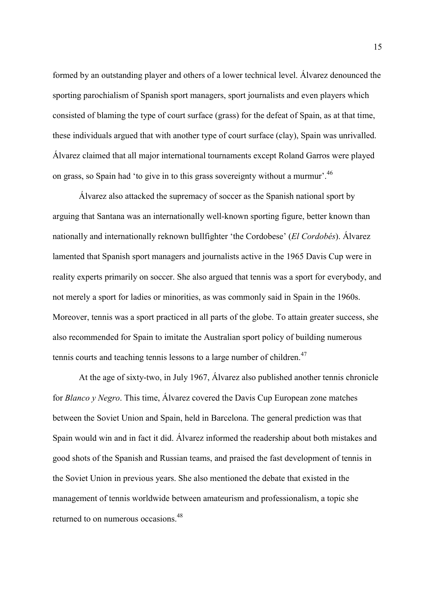formed by an outstanding player and others of a lower technical level. Álvarez denounced the sporting parochialism of Spanish sport managers, sport journalists and even players which consisted of blaming the type of court surface (grass) for the defeat of Spain, as at that time, these individuals argued that with another type of court surface (clay), Spain was unrivalled. Álvarez claimed that all major international tournaments except Roland Garros were played on grass, so Spain had 'to give in to this grass sovereignty without a murmur'.<sup>46</sup>

Álvarez also attacked the supremacy of soccer as the Spanish national sport by arguing that Santana was an internationally well-known sporting figure, better known than nationally and internationally reknown bullfighter 'the Cordobese' (El Cordobés). Álvarez lamented that Spanish sport managers and journalists active in the 1965 Davis Cup were in reality experts primarily on soccer. She also argued that tennis was a sport for everybody, and not merely a sport for ladies or minorities, as was commonly said in Spain in the 1960s. Moreover, tennis was a sport practiced in all parts of the globe. To attain greater success, she also recommended for Spain to imitate the Australian sport policy of building numerous tennis courts and teaching tennis lessons to a large number of children.<sup>47</sup>

At the age of sixty-two, in July 1967, Álvarez also published another tennis chronicle for Blanco y Negro. This time, Álvarez covered the Davis Cup European zone matches between the Soviet Union and Spain, held in Barcelona. The general prediction was that Spain would win and in fact it did. Álvarez informed the readership about both mistakes and good shots of the Spanish and Russian teams, and praised the fast development of tennis in the Soviet Union in previous years. She also mentioned the debate that existed in the management of tennis worldwide between amateurism and professionalism, a topic she returned to on numerous occasions.<sup>48</sup>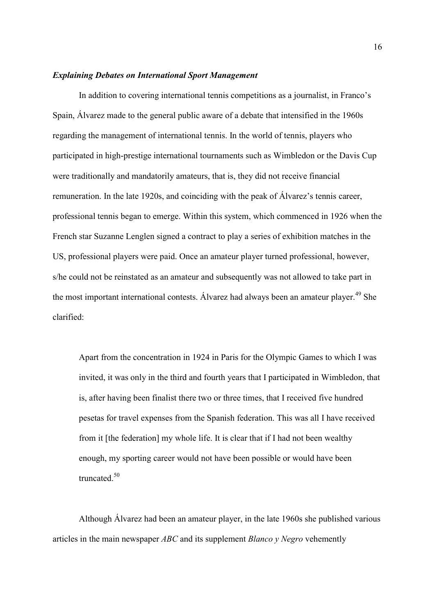# Explaining Debates on International Sport Management

 In addition to covering international tennis competitions as a journalist, in Franco's Spain, Álvarez made to the general public aware of a debate that intensified in the 1960s regarding the management of international tennis. In the world of tennis, players who participated in high-prestige international tournaments such as Wimbledon or the Davis Cup were traditionally and mandatorily amateurs, that is, they did not receive financial remuneration. In the late 1920s, and coinciding with the peak of Álvarez's tennis career, professional tennis began to emerge. Within this system, which commenced in 1926 when the French star Suzanne Lenglen signed a contract to play a series of exhibition matches in the US, professional players were paid. Once an amateur player turned professional, however, s/he could not be reinstated as an amateur and subsequently was not allowed to take part in the most important international contests. Álvarez had always been an amateur player.<sup>49</sup> She clarified:

Apart from the concentration in 1924 in Paris for the Olympic Games to which I was invited, it was only in the third and fourth years that I participated in Wimbledon, that is, after having been finalist there two or three times, that I received five hundred pesetas for travel expenses from the Spanish federation. This was all I have received from it [the federation] my whole life. It is clear that if I had not been wealthy enough, my sporting career would not have been possible or would have been truncated.<sup>50</sup>

 Although Álvarez had been an amateur player, in the late 1960s she published various articles in the main newspaper ABC and its supplement Blanco y Negro vehemently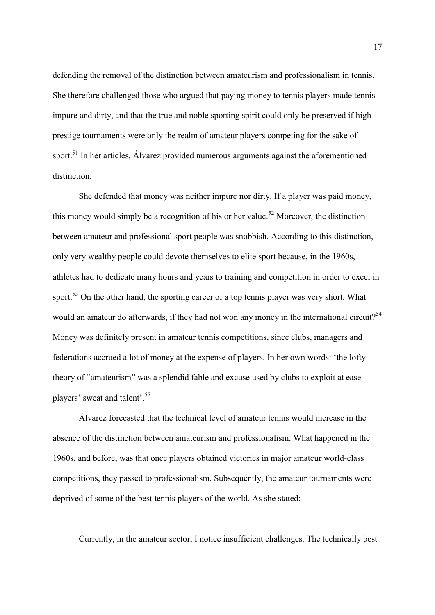defending the removal of the distinction between amateurism and professionalism in tennis. She therefore challenged those who argued that paying money to tennis players made tennis impure and dirty, and that the true and noble sporting spirit could only be preserved if high prestige tournaments were only the realm of amateur players competing for the sake of sport.<sup>51</sup> In her articles, Álvarez provided numerous arguments against the aforementioned distinction.

 She defended that money was neither impure nor dirty. If a player was paid money, this money would simply be a recognition of his or her value.<sup>52</sup> Moreover, the distinction between amateur and professional sport people was snobbish. According to this distinction, only very wealthy people could devote themselves to elite sport because, in the 1960s, athletes had to dedicate many hours and years to training and competition in order to excel in sport.<sup>53</sup> On the other hand, the sporting career of a top tennis player was very short. What would an amateur do afterwards, if they had not won any money in the international circuit?<sup>54</sup> Money was definitely present in amateur tennis competitions, since clubs, managers and federations accrued a lot of money at the expense of players. In her own words: 'the lofty theory of "amateurism" was a splendid fable and excuse used by clubs to exploit at ease players' sweat and talent'.<sup>55</sup>

 Álvarez forecasted that the technical level of amateur tennis would increase in the absence of the distinction between amateurism and professionalism. What happened in the 1960s, and before, was that once players obtained victories in major amateur world-class competitions, they passed to professionalism. Subsequently, the amateur tournaments were deprived of some of the best tennis players of the world. As she stated:

Currently, in the amateur sector, I notice insufficient challenges. The technically best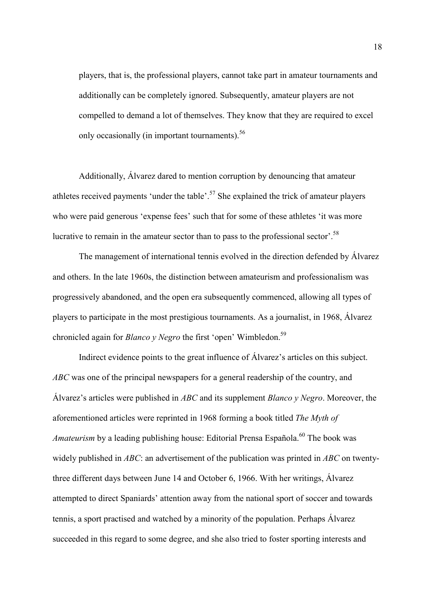players, that is, the professional players, cannot take part in amateur tournaments and additionally can be completely ignored. Subsequently, amateur players are not compelled to demand a lot of themselves. They know that they are required to excel only occasionally (in important tournaments). $56$ 

Additionally, Álvarez dared to mention corruption by denouncing that amateur athletes received payments 'under the table'.<sup>57</sup> She explained the trick of amateur players who were paid generous 'expense fees' such that for some of these athletes 'it was more lucrative to remain in the amateur sector than to pass to the professional sector'.<sup>58</sup>

The management of international tennis evolved in the direction defended by Álvarez and others. In the late 1960s, the distinction between amateurism and professionalism was progressively abandoned, and the open era subsequently commenced, allowing all types of players to participate in the most prestigious tournaments. As a journalist, in 1968, Álvarez chronicled again for *Blanco y Negro* the first 'open' Wimbledon.<sup>59</sup>

Indirect evidence points to the great influence of Álvarez's articles on this subject. ABC was one of the principal newspapers for a general readership of the country, and Álvarez's articles were published in ABC and its supplement Blanco y Negro. Moreover, the aforementioned articles were reprinted in 1968 forming a book titled The Myth of *Amateurism* by a leading publishing house: Editorial Prensa Española.<sup>60</sup> The book was widely published in *ABC*: an advertisement of the publication was printed in *ABC* on twentythree different days between June 14 and October 6, 1966. With her writings, Álvarez attempted to direct Spaniards' attention away from the national sport of soccer and towards tennis, a sport practised and watched by a minority of the population. Perhaps Álvarez succeeded in this regard to some degree, and she also tried to foster sporting interests and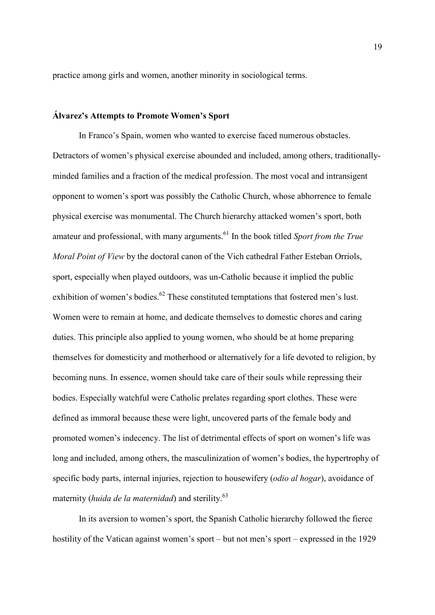practice among girls and women, another minority in sociological terms.

#### Álvarez's Attempts to Promote Women's Sport

In Franco's Spain, women who wanted to exercise faced numerous obstacles. Detractors of women's physical exercise abounded and included, among others, traditionallyminded families and a fraction of the medical profession. The most vocal and intransigent opponent to women's sport was possibly the Catholic Church, whose abhorrence to female physical exercise was monumental. The Church hierarchy attacked women's sport, both amateur and professional, with many arguments. $61$  In the book titled *Sport from the True* Moral Point of View by the doctoral canon of the Vich cathedral Father Esteban Orriols, sport, especially when played outdoors, was un-Catholic because it implied the public exhibition of women's bodies.<sup>62</sup> These constituted temptations that fostered men's lust. Women were to remain at home, and dedicate themselves to domestic chores and caring duties. This principle also applied to young women, who should be at home preparing themselves for domesticity and motherhood or alternatively for a life devoted to religion, by becoming nuns. In essence, women should take care of their souls while repressing their bodies. Especially watchful were Catholic prelates regarding sport clothes. These were defined as immoral because these were light, uncovered parts of the female body and promoted women's indecency. The list of detrimental effects of sport on women's life was long and included, among others, the masculinization of women's bodies, the hypertrophy of specific body parts, internal injuries, rejection to housewifery (*odio al hogar*), avoidance of maternity (*huida de la maternidad*) and sterility. $63$ 

In its aversion to women's sport, the Spanish Catholic hierarchy followed the fierce hostility of the Vatican against women's sport – but not men's sport – expressed in the 1929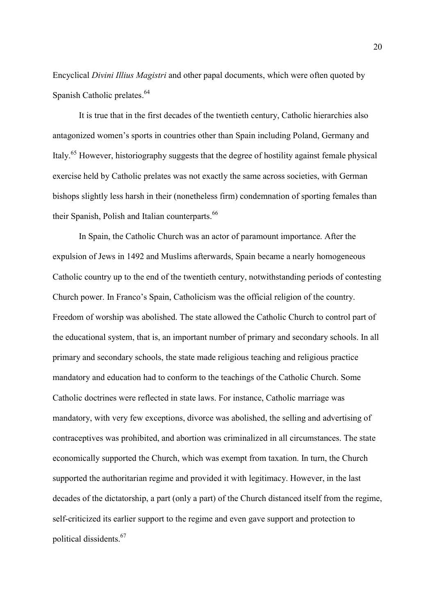Encyclical Divini Illius Magistri and other papal documents, which were often quoted by Spanish Catholic prelates.<sup>64</sup>

It is true that in the first decades of the twentieth century, Catholic hierarchies also antagonized women's sports in countries other than Spain including Poland, Germany and Italy.<sup>65</sup> However, historiography suggests that the degree of hostility against female physical exercise held by Catholic prelates was not exactly the same across societies, with German bishops slightly less harsh in their (nonetheless firm) condemnation of sporting females than their Spanish, Polish and Italian counterparts.<sup>66</sup>

In Spain, the Catholic Church was an actor of paramount importance. After the expulsion of Jews in 1492 and Muslims afterwards, Spain became a nearly homogeneous Catholic country up to the end of the twentieth century, notwithstanding periods of contesting Church power. In Franco's Spain, Catholicism was the official religion of the country. Freedom of worship was abolished. The state allowed the Catholic Church to control part of the educational system, that is, an important number of primary and secondary schools. In all primary and secondary schools, the state made religious teaching and religious practice mandatory and education had to conform to the teachings of the Catholic Church. Some Catholic doctrines were reflected in state laws. For instance, Catholic marriage was mandatory, with very few exceptions, divorce was abolished, the selling and advertising of contraceptives was prohibited, and abortion was criminalized in all circumstances. The state economically supported the Church, which was exempt from taxation. In turn, the Church supported the authoritarian regime and provided it with legitimacy. However, in the last decades of the dictatorship, a part (only a part) of the Church distanced itself from the regime, self-criticized its earlier support to the regime and even gave support and protection to political dissidents.<sup>67</sup>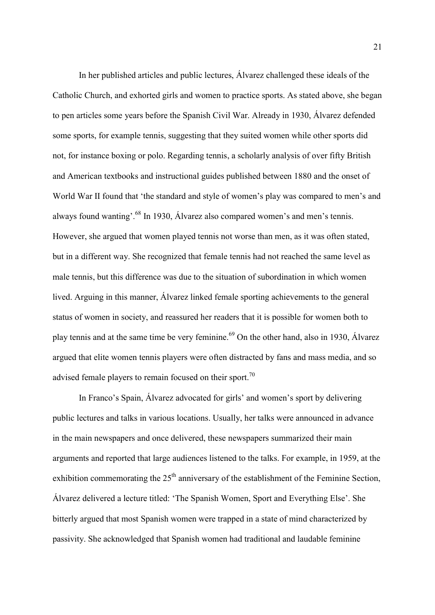In her published articles and public lectures, Álvarez challenged these ideals of the Catholic Church, and exhorted girls and women to practice sports. As stated above, she began to pen articles some years before the Spanish Civil War. Already in 1930, Álvarez defended some sports, for example tennis, suggesting that they suited women while other sports did not, for instance boxing or polo. Regarding tennis, a scholarly analysis of over fifty British and American textbooks and instructional guides published between 1880 and the onset of World War II found that 'the standard and style of women's play was compared to men's and always found wanting'.<sup>68</sup> In 1930, Álvarez also compared women's and men's tennis. However, she argued that women played tennis not worse than men, as it was often stated, but in a different way. She recognized that female tennis had not reached the same level as male tennis, but this difference was due to the situation of subordination in which women lived. Arguing in this manner, Álvarez linked female sporting achievements to the general status of women in society, and reassured her readers that it is possible for women both to play tennis and at the same time be very feminine.<sup>69</sup> On the other hand, also in 1930, Álvarez argued that elite women tennis players were often distracted by fans and mass media, and so advised female players to remain focused on their sport.<sup>70</sup>

In Franco's Spain, Álvarez advocated for girls' and women's sport by delivering public lectures and talks in various locations. Usually, her talks were announced in advance in the main newspapers and once delivered, these newspapers summarized their main arguments and reported that large audiences listened to the talks. For example, in 1959, at the exhibition commemorating the  $25<sup>th</sup>$  anniversary of the establishment of the Feminine Section, Álvarez delivered a lecture titled: 'The Spanish Women, Sport and Everything Else'. She bitterly argued that most Spanish women were trapped in a state of mind characterized by passivity. She acknowledged that Spanish women had traditional and laudable feminine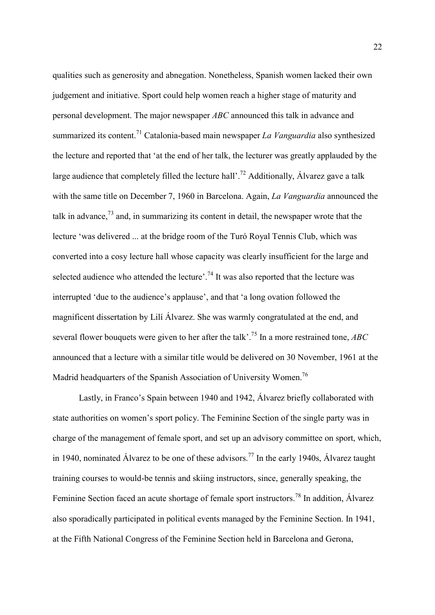qualities such as generosity and abnegation. Nonetheless, Spanish women lacked their own judgement and initiative. Sport could help women reach a higher stage of maturity and personal development. The major newspaper ABC announced this talk in advance and summarized its content.<sup>71</sup> Catalonia-based main newspaper *La Vanguardia* also synthesized the lecture and reported that 'at the end of her talk, the lecturer was greatly applauded by the large audience that completely filled the lecture hall'.<sup>72</sup> Additionally, Álvarez gave a talk with the same title on December 7, 1960 in Barcelona. Again, La Vanguardia announced the talk in advance, $^{73}$  and, in summarizing its content in detail, the newspaper wrote that the lecture 'was delivered ... at the bridge room of the Turó Royal Tennis Club, which was converted into a cosy lecture hall whose capacity was clearly insufficient for the large and selected audience who attended the lecture'.<sup>74</sup> It was also reported that the lecture was interrupted 'due to the audience's applause', and that 'a long ovation followed the magnificent dissertation by Lilí Álvarez. She was warmly congratulated at the end, and several flower bouquets were given to her after the talk'.<sup>75</sup> In a more restrained tone, *ABC* announced that a lecture with a similar title would be delivered on 30 November, 1961 at the Madrid headquarters of the Spanish Association of University Women.<sup>76</sup>

Lastly, in Franco's Spain between 1940 and 1942, Álvarez briefly collaborated with state authorities on women's sport policy. The Feminine Section of the single party was in charge of the management of female sport, and set up an advisory committee on sport, which, in 1940, nominated Álvarez to be one of these advisors.<sup>77</sup> In the early 1940s, Álvarez taught training courses to would-be tennis and skiing instructors, since, generally speaking, the Feminine Section faced an acute shortage of female sport instructors.<sup>78</sup> In addition, Álvarez also sporadically participated in political events managed by the Feminine Section. In 1941, at the Fifth National Congress of the Feminine Section held in Barcelona and Gerona,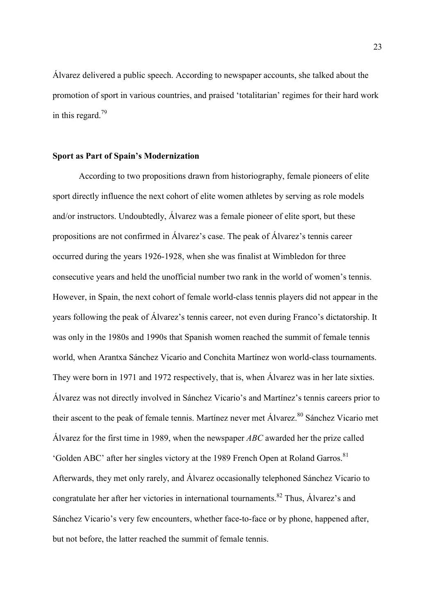Álvarez delivered a public speech. According to newspaper accounts, she talked about the promotion of sport in various countries, and praised 'totalitarian' regimes for their hard work in this regard.<sup>79</sup>

#### Sport as Part of Spain's Modernization

According to two propositions drawn from historiography, female pioneers of elite sport directly influence the next cohort of elite women athletes by serving as role models and/or instructors. Undoubtedly, Álvarez was a female pioneer of elite sport, but these propositions are not confirmed in Álvarez's case. The peak of Álvarez's tennis career occurred during the years 1926-1928, when she was finalist at Wimbledon for three consecutive years and held the unofficial number two rank in the world of women's tennis. However, in Spain, the next cohort of female world-class tennis players did not appear in the years following the peak of Álvarez's tennis career, not even during Franco's dictatorship. It was only in the 1980s and 1990s that Spanish women reached the summit of female tennis world, when Arantxa Sánchez Vicario and Conchita Martínez won world-class tournaments. They were born in 1971 and 1972 respectively, that is, when Álvarez was in her late sixties. Álvarez was not directly involved in Sánchez Vicario's and Martínez's tennis careers prior to their ascent to the peak of female tennis. Martínez never met Álvarez.<sup>80</sup> Sánchez Vicario met Álvarez for the first time in 1989, when the newspaper  $ABC$  awarded her the prize called 'Golden ABC' after her singles victory at the 1989 French Open at Roland Garros.<sup>81</sup> Afterwards, they met only rarely, and Álvarez occasionally telephoned Sánchez Vicario to congratulate her after her victories in international tournaments.<sup>82</sup> Thus, Alvarez's and Sánchez Vicario's very few encounters, whether face-to-face or by phone, happened after, but not before, the latter reached the summit of female tennis.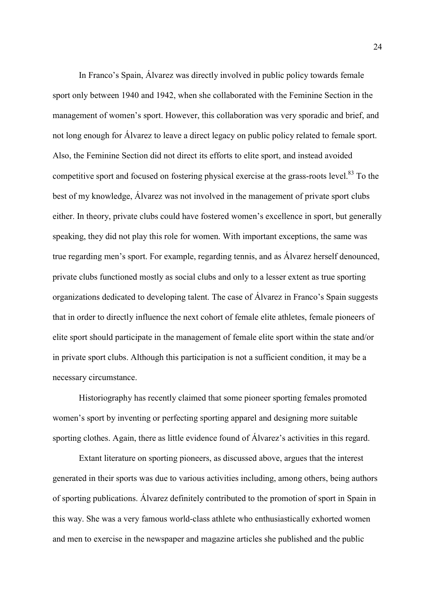In Franco's Spain, Álvarez was directly involved in public policy towards female sport only between 1940 and 1942, when she collaborated with the Feminine Section in the management of women's sport. However, this collaboration was very sporadic and brief, and not long enough for Álvarez to leave a direct legacy on public policy related to female sport. Also, the Feminine Section did not direct its efforts to elite sport, and instead avoided competitive sport and focused on fostering physical exercise at the grass-roots level.<sup>83</sup> To the best of my knowledge, Álvarez was not involved in the management of private sport clubs either. In theory, private clubs could have fostered women's excellence in sport, but generally speaking, they did not play this role for women. With important exceptions, the same was true regarding men's sport. For example, regarding tennis, and as Álvarez herself denounced, private clubs functioned mostly as social clubs and only to a lesser extent as true sporting organizations dedicated to developing talent. The case of Álvarez in Franco's Spain suggests that in order to directly influence the next cohort of female elite athletes, female pioneers of elite sport should participate in the management of female elite sport within the state and/or in private sport clubs. Although this participation is not a sufficient condition, it may be a necessary circumstance.

Historiography has recently claimed that some pioneer sporting females promoted women's sport by inventing or perfecting sporting apparel and designing more suitable sporting clothes. Again, there as little evidence found of Álvarez's activities in this regard.

Extant literature on sporting pioneers, as discussed above, argues that the interest generated in their sports was due to various activities including, among others, being authors of sporting publications. Álvarez definitely contributed to the promotion of sport in Spain in this way. She was a very famous world-class athlete who enthusiastically exhorted women and men to exercise in the newspaper and magazine articles she published and the public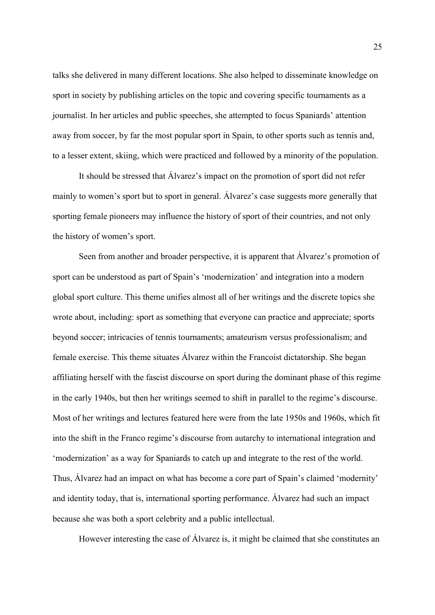talks she delivered in many different locations. She also helped to disseminate knowledge on sport in society by publishing articles on the topic and covering specific tournaments as a journalist. In her articles and public speeches, she attempted to focus Spaniards' attention away from soccer, by far the most popular sport in Spain, to other sports such as tennis and, to a lesser extent, skiing, which were practiced and followed by a minority of the population.

It should be stressed that Álvarez's impact on the promotion of sport did not refer mainly to women's sport but to sport in general. Álvarez's case suggests more generally that sporting female pioneers may influence the history of sport of their countries, and not only the history of women's sport.

Seen from another and broader perspective, it is apparent that Álvarez's promotion of sport can be understood as part of Spain's 'modernization' and integration into a modern global sport culture. This theme unifies almost all of her writings and the discrete topics she wrote about, including: sport as something that everyone can practice and appreciate; sports beyond soccer; intricacies of tennis tournaments; amateurism versus professionalism; and female exercise. This theme situates Álvarez within the Francoist dictatorship. She began affiliating herself with the fascist discourse on sport during the dominant phase of this regime in the early 1940s, but then her writings seemed to shift in parallel to the regime's discourse. Most of her writings and lectures featured here were from the late 1950s and 1960s, which fit into the shift in the Franco regime's discourse from autarchy to international integration and 'modernization' as a way for Spaniards to catch up and integrate to the rest of the world. Thus, Álvarez had an impact on what has become a core part of Spain's claimed 'modernity' and identity today, that is, international sporting performance. Álvarez had such an impact because she was both a sport celebrity and a public intellectual.

However interesting the case of Álvarez is, it might be claimed that she constitutes an

25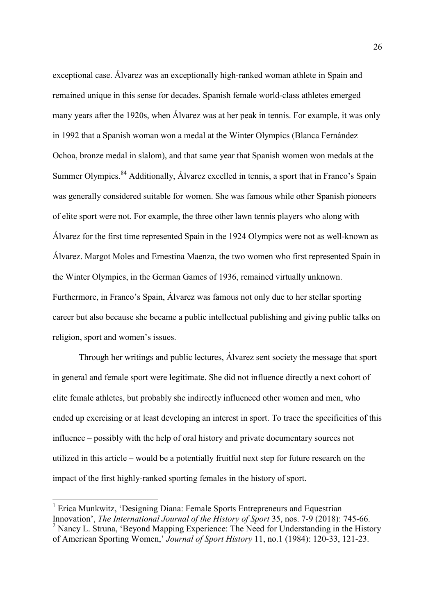exceptional case. Álvarez was an exceptionally high-ranked woman athlete in Spain and remained unique in this sense for decades. Spanish female world-class athletes emerged many years after the 1920s, when Álvarez was at her peak in tennis. For example, it was only in 1992 that a Spanish woman won a medal at the Winter Olympics (Blanca Fernández Ochoa, bronze medal in slalom), and that same year that Spanish women won medals at the Summer Olympics.<sup>84</sup> Additionally, Álvarez excelled in tennis, a sport that in Franco's Spain was generally considered suitable for women. She was famous while other Spanish pioneers of elite sport were not. For example, the three other lawn tennis players who along with Álvarez for the first time represented Spain in the 1924 Olympics were not as well-known as Álvarez. Margot Moles and Ernestina Maenza, the two women who first represented Spain in the Winter Olympics, in the German Games of 1936, remained virtually unknown. Furthermore, in Franco's Spain, Álvarez was famous not only due to her stellar sporting career but also because she became a public intellectual publishing and giving public talks on religion, sport and women's issues.

 Through her writings and public lectures, Álvarez sent society the message that sport in general and female sport were legitimate. She did not influence directly a next cohort of elite female athletes, but probably she indirectly influenced other women and men, who ended up exercising or at least developing an interest in sport. To trace the specificities of this influence – possibly with the help of oral history and private documentary sources not utilized in this article – would be a potentially fruitful next step for future research on the impact of the first highly-ranked sporting females in the history of sport.

-

<sup>&</sup>lt;sup>1</sup> Erica Munkwitz, 'Designing Diana: Female Sports Entrepreneurs and Equestrian Innovation', The International Journal of the History of Sport 35, nos. 7-9 (2018): 745-66. <sup>2</sup> Nancy L. Struna, 'Beyond Mapping Experience: The Need for Understanding in the History of American Sporting Women,' Journal of Sport History 11, no.1 (1984): 120-33, 121-23.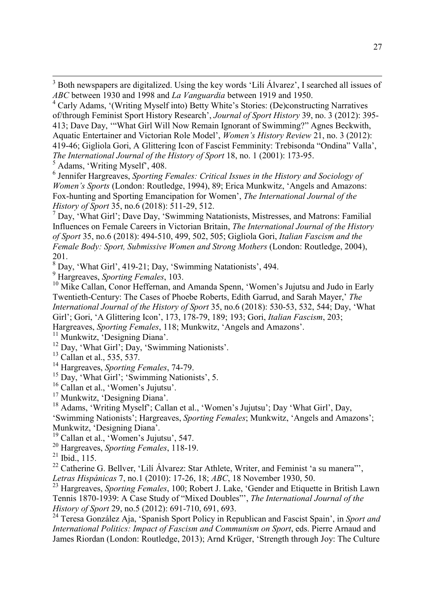5 Adams, 'Writing Myself', 408.

 $<sup>6</sup>$  Jennifer Hargreaves, Sporting Females: Critical Issues in the History and Sociology of</sup> Women's Sports (London: Routledge, 1994), 89; Erica Munkwitz, 'Angels and Amazons: Fox-hunting and Sporting Emancipation for Women', The International Journal of the History of Sport 35, no.6 (2018): 511-29, 512.

<sup>7</sup> Day, 'What Girl'; Dave Day, 'Swimming Natationists, Mistresses, and Matrons: Familial Influences on Female Careers in Victorian Britain, The International Journal of the History of Sport 35, no.6 (2018): 494-510, 499, 502, 505; Gigliola Gori, Italian Fascism and the Female Body: Sport, Submissive Women and Strong Mothers (London: Routledge, 2004), 201.

8 Day, 'What Girl', 419-21; Day, 'Swimming Natationists', 494.

 $<sup>9</sup>$  Hargreaves, Sporting Females, 103.</sup>

<sup>10</sup> Mike Callan, Conor Heffernan, and Amanda Spenn, 'Women's Jujutsu and Judo in Early Twentieth-Century: The Cases of Phoebe Roberts, Edith Garrud, and Sarah Mayer,' The International Journal of the History of Sport 35, no.6 (2018): 530-53, 532, 544; Day, 'What Girl'; Gori, 'A Glittering Icon', 173, 178-79, 189; 193; Gori, Italian Fascism, 203;

Hargreaves, Sporting Females, 118; Munkwitz, 'Angels and Amazons'.

<sup>11</sup> Munkwitz, 'Designing Diana'.

<sup>12</sup> Day, 'What Girl'; Day, 'Swimming Nationists'.

<sup>13</sup> Callan et al., 535, 537.

 $14$  Hargreaves, *Sporting Females*, 74-79.

<sup>15</sup> Day, 'What Girl'; 'Swimming Nationists', 5.

 $16$  Callan et al., 'Women's Jujutsu'.

<sup>17</sup> Munkwitz, 'Designing Diana'.

<sup>18</sup> Adams, 'Writing Myself'; Callan et al., 'Women's Jujutsu'; Day 'What Girl', Day,

'Swimming Nationists'; Hargreaves, Sporting Females; Munkwitz, 'Angels and Amazons'; Munkwitz, 'Designing Diana'.

<sup>19</sup> Callan et al., 'Women's Jujutsu', 547.

<sup>20</sup> Hargreaves, Sporting Females, 118-19.

 $21$  Ibid., 115.

<sup>22</sup> Catherine G. Bellver, 'Lilí Álvarez: Star Athlete, Writer, and Feminist 'a su manera"', Letras Hispánicas 7, no.1 (2010): 17-26, 18; ABC, 18 November 1930, 50.

<sup>23</sup> Hargreaves, Sporting Females, 100; Robert J. Lake, 'Gender and Etiquette in British Lawn Tennis 1870-1939: A Case Study of "Mixed Doubles"', The International Journal of the History of Sport 29, no.5 (2012): 691-710, 691, 693.

<sup>24</sup> Teresa González Aja, 'Spanish Sport Policy in Republican and Fascist Spain', in Sport and International Politics: Impact of Fascism and Communism on Sport, eds. Pierre Arnaud and James Riordan (London: Routledge, 2013); Arnd Krüger, 'Strength through Joy: The Culture

<sup>&</sup>lt;sup>3</sup> Both newspapers are digitalized. Using the key words 'Lilí Álvarez', I searched all issues of ABC between 1930 and 1998 and La Vanguardia between 1919 and 1950.

<sup>4</sup> Carly Adams, '(Writing Myself into) Betty White's Stories: (De)constructing Narratives of/through Feminist Sport History Research', Journal of Sport History 39, no. 3 (2012): 395- 413; Dave Day, '"What Girl Will Now Remain Ignorant of Swimming?" Agnes Beckwith, Aquatic Entertainer and Victorian Role Model', Women's History Review 21, no. 3 (2012): 419-46; Gigliola Gori, A Glittering Icon of Fascist Femminity: Trebisonda "Ondina" Valla', The International Journal of the History of Sport 18, no. 1 (2001): 173-95.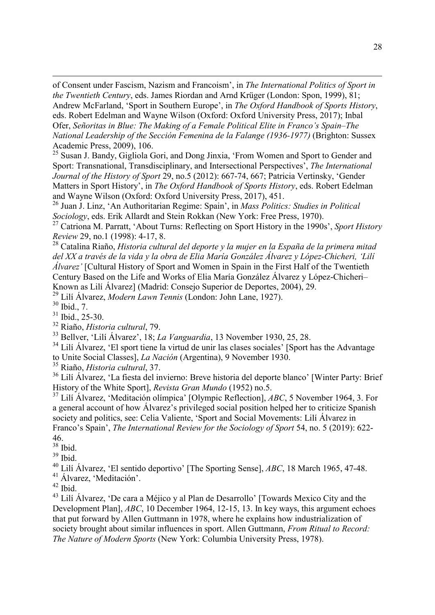of Consent under Fascism, Nazism and Francoism', in The International Politics of Sport in the Twentieth Century, eds. James Riordan and Arnd Krüger (London: Spon, 1999), 81; Andrew McFarland, 'Sport in Southern Europe', in The Oxford Handbook of Sports History, eds. Robert Edelman and Wayne Wilson (Oxford: Oxford University Press, 2017); Inbal Ofer, Señoritas in Blue: The Making of a Female Political Elite in Franco's Spain–The National Leadership of the Sección Femenina de la Falange (1936-1977) (Brighton: Sussex Academic Press, 2009), 106.

<sup>25</sup> Susan J. Bandy, Gigliola Gori, and Dong Jinxia, 'From Women and Sport to Gender and Sport: Transnational, Transdisciplinary, and Intersectional Perspectives', The International Journal of the History of Sport 29, no.5 (2012): 667-74, 667; Patricia Vertinsky, 'Gender Matters in Sport History', in The Oxford Handbook of Sports History, eds. Robert Edelman and Wayne Wilson (Oxford: Oxford University Press, 2017), 451.

<sup>26</sup> Juan J. Linz, 'An Authoritarian Regime: Spain', in Mass Politics: Studies in Political Sociology, eds. Erik Allardt and Stein Rokkan (New York: Free Press, 1970).

 $^{27}$  Catriona M. Parratt, 'About Turns: Reflecting on Sport History in the 1990s', Sport History Review 29, no.1 (1998): 4-17, 8.

 $28$  Catalina Riaño, Historia cultural del deporte y la mujer en la España de la primera mitad del XX a través de la vida y la obra de Elia María González Álvarez y López-Chicheri, 'Lilí Álvarez' [Cultural History of Sport and Women in Spain in the First Half of the Twentieth Century Based on the Life and Works of Elia María González Álvarez y López-Chicheri– Known as Lilí Álvarez] (Madrid: Consejo Superior de Deportes, 2004), 29.

 $29$  Lilí Álvarez, *Modern Lawn Tennis* (London: John Lane, 1927).

 $30$  Ibid., 7.

-

<sup>31</sup> Ibid., 25-30.

<sup>32</sup> Riaño, Historia cultural, 79.

 $33$  Bellver, 'Lilí Álvarez', 18; La Vanguardia, 13 November 1930, 25, 28.

 $34$  Lilí Álvarez, 'El sport tiene la virtud de unir las clases sociales' [Sport has the Advantage to Unite Social Classes], La Nación (Argentina), 9 November 1930.

<sup>35</sup> Riaño, Historia cultural, 37.

<sup>36</sup> Lilí Álvarez, 'La fiesta del invierno: Breve historia del deporte blanco' [Winter Party: Brief History of the White Sport], Revista Gran Mundo (1952) no.5.

 $37$  Lilí Álvarez, 'Meditación olímpica' [Olympic Reflection], ABC, 5 November 1964, 3. For a general account of how Álvarez's privileged social position helped her to criticize Spanish society and politics, see: Celia Valiente, 'Sport and Social Movements: Lilí Álvarez in Franco's Spain', The International Review for the Sociology of Sport 54, no. 5 (2019): 622- 46.

<sup>38</sup> Ibid.

 $39$  Ibid.

<sup>40</sup> Lilí Álvarez, 'El sentido deportivo' [The Sporting Sense], ABC, 18 March 1965, 47-48.

<sup>41</sup> Álvarez, 'Meditación'.

 $^{42}$  Ibid.

<sup>43</sup> Lilí Álvarez, 'De cara a Méjico y al Plan de Desarrollo' [Towards Mexico City and the Development Plan], ABC, 10 December 1964, 12-15, 13. In key ways, this argument echoes that put forward by Allen Guttmann in 1978, where he explains how industrialization of society brought about similar influences in sport. Allen Guttmann, From Ritual to Record: The Nature of Modern Sports (New York: Columbia University Press, 1978).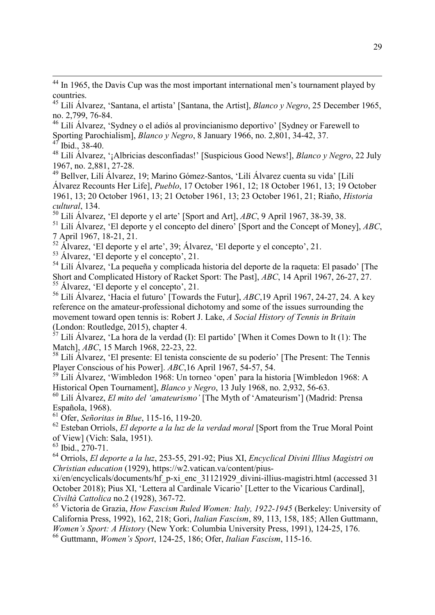$44$  In 1965, the Davis Cup was the most important international men's tournament played by countries.

<sup>45</sup> Lilí Álvarez, 'Santana, el artista' [Santana, the Artist], *Blanco y Negro*, 25 December 1965, no. 2,799, 76-84.

<sup>46</sup> Lilí Álvarez, 'Sydney o el adiós al provincianismo deportivo' [Sydney or Farewell to Sporting Parochialism], Blanco y Negro, 8 January 1966, no. 2,801, 34-42, 37.

Ibid., 38-40.

-

48 Lilí Álvarez, '¡Albricias desconfiadas!' [Suspicious Good News!], Blanco y Negro, 22 July 1967, no. 2,881, 27-28.

<sup>49</sup> Bellver, Lilí Álvarez, 19; Marino Gómez-Santos, 'Lilí Álvarez cuenta su vida' [Lilí Álvarez Recounts Her Life], Pueblo, 17 October 1961, 12; 18 October 1961, 13; 19 October 1961, 13; 20 October 1961, 13; 21 October 1961, 13; 23 October 1961, 21; Riaño, Historia cultural, 134.

 $50$  Lilí Álvarez, 'El deporte y el arte' [Sport and Art],  $ABC$ , 9 April 1967, 38-39, 38.

<sup>51</sup> Lilí Álvarez, 'El deporte y el concepto del dinero' [Sport and the Concept of Money], ABC, 7 April 1967, 18-21, 21.

 $52$  Álvarez, 'El deporte y el arte', 39; Álvarez, 'El deporte y el concepto', 21.

 $53$  Álvarez, 'El deporte y el concepto', 21.

<sup>54</sup> Lilí Álvarez, 'La pequeña y complicada historia del deporte de la raqueta: El pasado' [The Short and Complicated History of Racket Sport: The Past], ABC, 14 April 1967, 26-27, 27. <sup>55</sup> Álvarez, 'El deporte y el concepto', 21.

 $^{56}$  Lilí Álvarez, 'Hacia el futuro' [Towards the Futur],  $ABC$ , 19 April 1967, 24-27, 24. A key reference on the amateur-professional dichotomy and some of the issues surrounding the movement toward open tennis is: Robert J. Lake, A Social History of Tennis in Britain (London: Routledge, 2015), chapter 4.

 $57$  Lilí Álvarez, 'La hora de la verdad (I): El partido' [When it Comes Down to It (1): The Match], ABC, 15 March 1968, 22-23, 22.

<sup>58</sup> Lilí Álvarez, 'El presente: El tenista consciente de su poderío' [The Present: The Tennis Player Conscious of his Power]. ABC,16 April 1967, 54-57, 54.

<sup>59</sup> Lilí Álvarez, 'Wimbledon 1968: Un torneo 'open' para la historia [Wimbledon 1968: A Historical Open Tournament], Blanco y Negro, 13 July 1968, no. 2,932, 56-63.

 $^{60}$  Lilí Álvarez, *El mito del 'amateurismo'* [The Myth of 'Amateurism'] (Madrid: Prensa Española, 1968).

 $61$  Ofer, Señoritas in Blue, 115-16, 119-20.

 $62$  Esteban Orriols, *El deporte a la luz de la verdad moral* [Sport from the True Moral Point of View] (Vich: Sala, 1951).

 $63$  Ibid., 270-71.

 $^{64}$  Orriols, El deporte a la luz, 253-55, 291-92; Pius XI, Encyclical Divini Illius Magistri on Christian education (1929), https://w2.vatican.va/content/pius-

xi/en/encyclicals/documents/hf\_p-xi\_enc\_31121929\_divini-illius-magistri.html (accessed 31 October 2018); Pius XI, 'Lettera al Cardinale Vicario' [Letter to the Vicarious Cardinal], Civiltà Cattolica no.2 (1928), 367-72.

 $^{65}$  Victoria de Grazia, *How Fascism Ruled Women: Italy, 1922-1945* (Berkeley: University of California Press, 1992), 162, 218; Gori, Italian Fascism, 89, 113, 158, 185; Allen Guttmann,

Women's Sport: A History (New York: Columbia University Press, 1991), 124-25, 176.

<sup>66</sup> Guttmann, Women's Sport, 124-25, 186; Ofer, Italian Fascism, 115-16.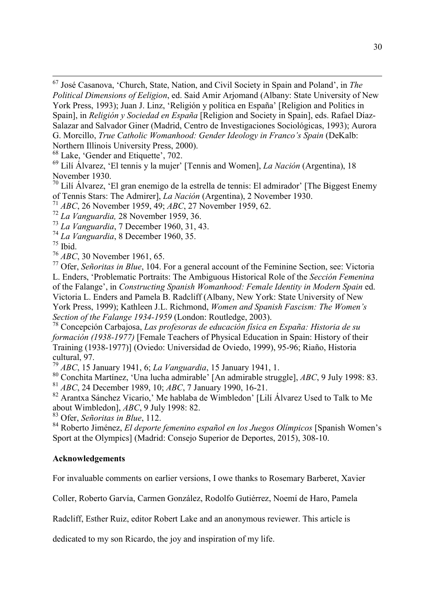$67$  José Casanova, 'Church, State, Nation, and Civil Society in Spain and Poland', in The Political Dimensions of Eeligion, ed. Said Amir Arjomand (Albany: State University of New York Press, 1993); Juan J. Linz, 'Religión y política en España' [Religion and Politics in Spain], in Religión y Sociedad en España [Religion and Society in Spain], eds. Rafael Díaz-Salazar and Salvador Giner (Madrid, Centro de Investigaciones Sociológicas, 1993); Aurora G. Morcillo, True Catholic Womanhood: Gender Ideology in Franco's Spain (DeKalb: Northern Illinois University Press, 2000).

<sup>68</sup> Lake, 'Gender and Etiquette', 702.

 $^{69}$  Lilí Álvarez, 'El tennis y la mujer' [Tennis and Women], *La Nación* (Argentina), 18 November 1930.

 $70$  Lilí Álvarez, 'El gran enemigo de la estrella de tennis: El admirador' [The Biggest Enemy of Tennis Stars: The Admirer], La Nación (Argentina), 2 November 1930.

<sup>71</sup> ABC, 26 November 1959, 49; ABC, 27 November 1959, 62.

 $72$  La Vanguardia, 28 November 1959, 36.

 $73$  La Vanguardia, 7 December 1960, 31, 43.

<sup>74</sup> La Vanguardia, 8 December 1960, 35.

 $^{75}$  Ibid.

-

 $76$   $\overline{ABC}$ , 30 November 1961, 65.

<sup>77</sup> Ofer, Señoritas in Blue, 104. For a general account of the Feminine Section, see: Victoria L. Enders, 'Problematic Portraits: The Ambiguous Historical Role of the Sección Femenina of the Falange', in Constructing Spanish Womanhood: Female Identity in Modern Spain ed. Victoria L. Enders and Pamela B. Radcliff (Albany, New York: State University of New York Press, 1999); Kathleen J.L. Richmond, Women and Spanish Fascism: The Women's Section of the Falange 1934-1959 (London: Routledge, 2003).

 $78$  Concepción Carbajosa, Las profesoras de educación física en España: Historia de su formación (1938-1977) [Female Teachers of Physical Education in Spain: History of their Training (1938-1977)] (Oviedo: Universidad de Oviedo, 1999), 95-96; Riaño, Historia cultural, 97.

 $79$  ABC, 15 January 1941, 6; La Vanguardia, 15 January 1941, 1.

<sup>80</sup> Conchita Martínez, 'Una lucha admirable' [An admirable struggle], ABC, 9 July 1998: 83. <sup>81</sup> ABC, 24 December 1989, 10; ABC, 7 January 1990, 16-21.

<sup>82</sup> Arantxa Sánchez Vicario,' Me hablaba de Wimbledon' [Lilí Álvarez Used to Talk to Me about Wimbledon], ABC, 9 July 1998: 82.

<sup>83</sup> Ofer, Señoritas in Blue, 112.

<sup>84</sup> Roberto Jiménez, El deporte femenino español en los Juegos Olímpicos [Spanish Women's Sport at the Olympics] (Madrid: Consejo Superior de Deportes, 2015), 308-10.

# Acknowledgements

For invaluable comments on earlier versions, I owe thanks to Rosemary Barberet, Xavier

Coller, Roberto Garvía, Carmen González, Rodolfo Gutiérrez, Noemí de Haro, Pamela

Radcliff, Esther Ruiz, editor Robert Lake and an anonymous reviewer. This article is

dedicated to my son Ricardo, the joy and inspiration of my life.